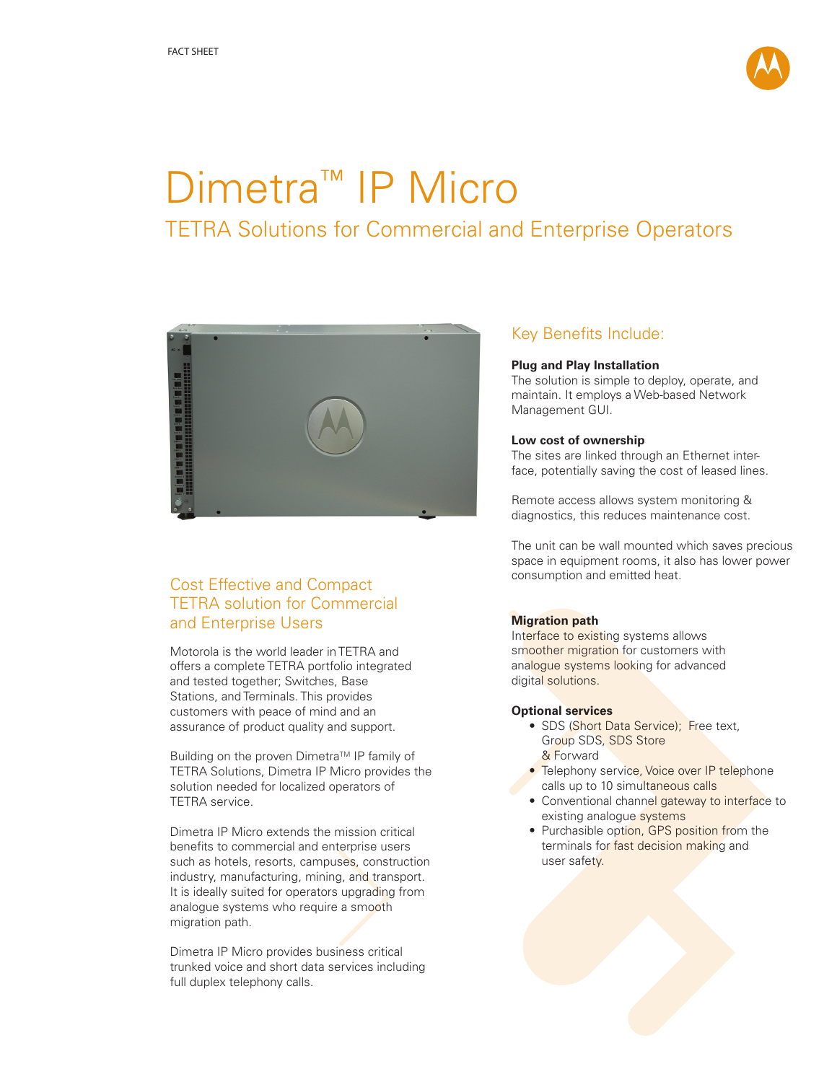

# Dimetra<sup>™</sup> IP Micro TETRA Solutions for Commercial and Enterprise Operators



# Cost Effective and Compact TETRA solution for Commercial and Enterprise Users

Motorola is the world leader in TETRA and offers a complete TETRA portfolio integrated and tested together; Switches, Base Stations, and Terminals. This provides customers with peace of mind and an assurance of product quality and support.

Building on the proven Dimetra™ IP family of TETRA Solutions, Dimetra IP Micro provides the solution needed for localized operators of TETRA service.

Dimetra IP Micro extends the mission critical benefits to commercial and enterprise users such as hotels, resorts, campuses, construction industry, manufacturing, mining, and transport. It is ideally suited for operators upgrading from analogue systems who require a smooth migration path.

Dimetra IP Micro provides business critical trunked voice and short data services including full duplex telephony calls.

# Key Benefits Include:

### **Plug and Play Installation**

The solution is simple to deploy, operate, and maintain. It employs a Web-based Network Management GUI.

## **Low cost of ownership**

The sites are linked through an Ethernet interface, potentially saving the cost of leased lines.

Remote access allows system monitoring & diagnostics, this reduces maintenance cost.

The unit can be wall mounted which saves precious space in equipment rooms, it also has lower power consumption and emitted heat.

# **Migration path**

Interface to existing systems allows smoother migration for customers with analogue systems looking for advanced digital solutions.

### **Optional services**

- SDS (Short Data Service); Free text, Group SDS, SDS Store & Forward
- Telephony service, Voice over IP telephone calls up to 10 simultaneous calls
- Conventional channel gateway to interface to existing analogue systems
- Purchasible option, GPS position from the terminals for fast decision making and user safety.